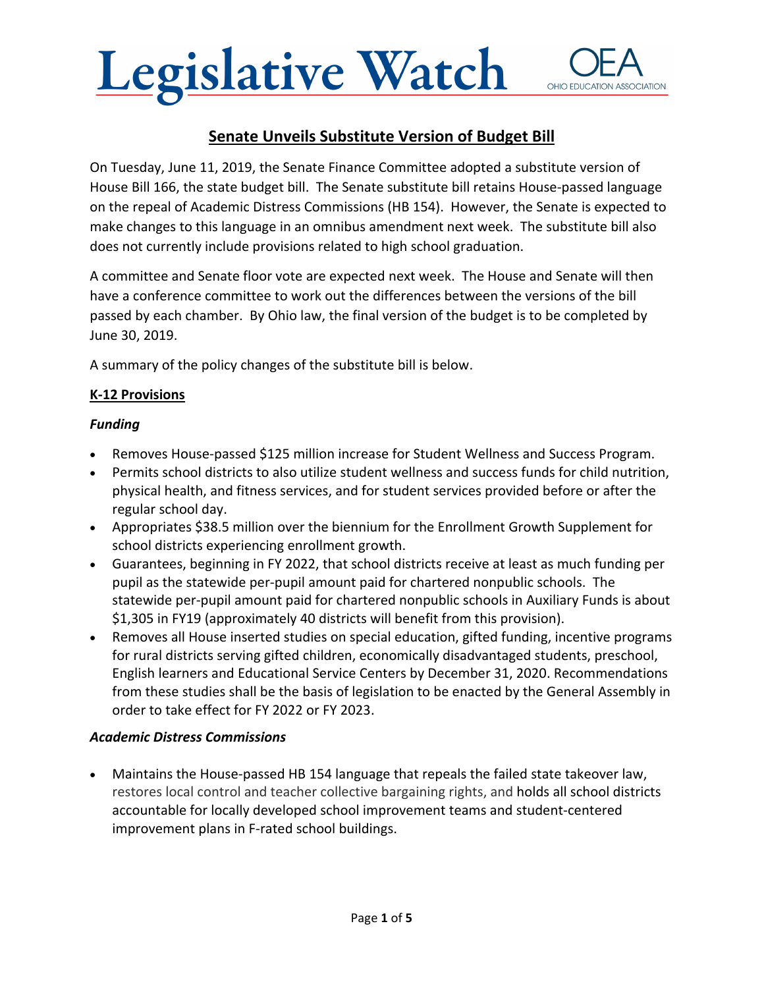## Legislative Watch OHIO EDUCATION ASSOCIATION

## **Senate Unveils Substitute Version of Budget Bill**

On Tuesday, June 11, 2019, the Senate Finance Committee adopted a substitute version of House Bill 166, the state budget bill. The Senate substitute bill retains House‐passed language on the repeal of Academic Distress Commissions (HB 154). However, the Senate is expected to make changes to this language in an omnibus amendment next week. The substitute bill also does not currently include provisions related to high school graduation.

A committee and Senate floor vote are expected next week. The House and Senate will then have a conference committee to work out the differences between the versions of the bill passed by each chamber. By Ohio law, the final version of the budget is to be completed by June 30, 2019.

A summary of the policy changes of the substitute bill is below.

#### **K‐12 Provisions**

#### *Funding*

- Removes House-passed \$125 million increase for Student Wellness and Success Program.
- Permits school districts to also utilize student wellness and success funds for child nutrition, physical health, and fitness services, and for student services provided before or after the regular school day.
- Appropriates \$38.5 million over the biennium for the Enrollment Growth Supplement for school districts experiencing enrollment growth.
- Guarantees, beginning in FY 2022, that school districts receive at least as much funding per pupil as the statewide per‐pupil amount paid for chartered nonpublic schools. The statewide per‐pupil amount paid for chartered nonpublic schools in Auxiliary Funds is about \$1,305 in FY19 (approximately 40 districts will benefit from this provision).
- Removes all House inserted studies on special education, gifted funding, incentive programs for rural districts serving gifted children, economically disadvantaged students, preschool, English learners and Educational Service Centers by December 31, 2020. Recommendations from these studies shall be the basis of legislation to be enacted by the General Assembly in order to take effect for FY 2022 or FY 2023.

#### *Academic Distress Commissions*

Maintains the House-passed HB 154 language that repeals the failed state takeover law, restores local control and teacher collective bargaining rights, and holds all school districts accountable for locally developed school improvement teams and student‐centered improvement plans in F‐rated school buildings.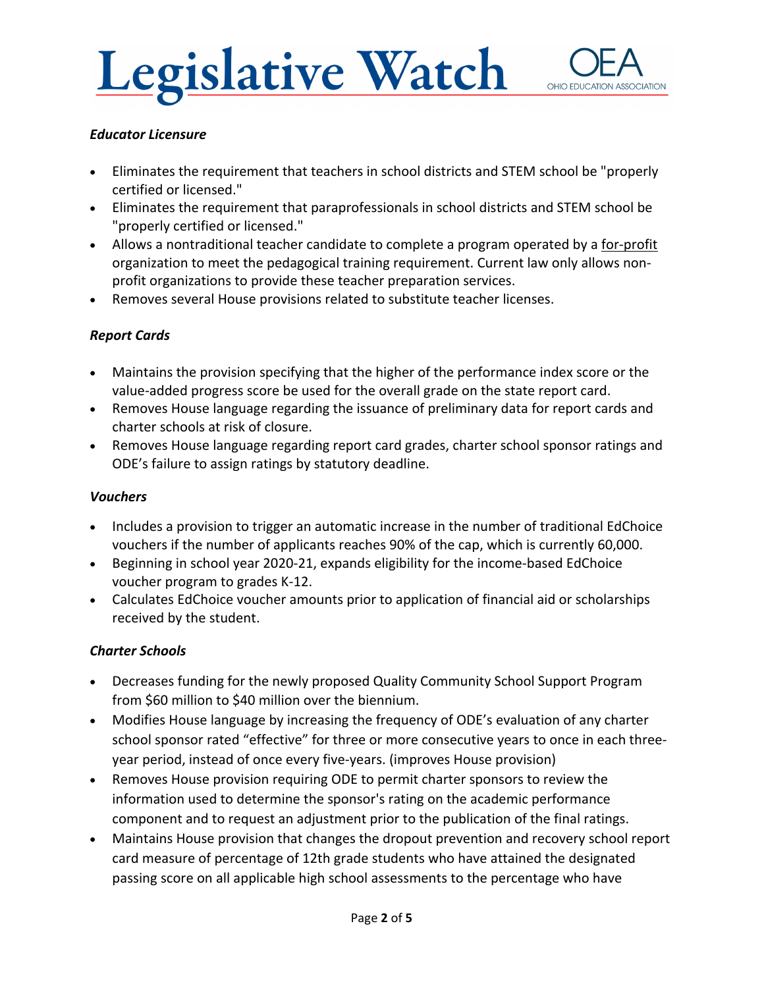# Legislative Watch



#### *Educator Licensure*

- Eliminates the requirement that teachers in school districts and STEM school be "properly certified or licensed."
- Eliminates the requirement that paraprofessionals in school districts and STEM school be "properly certified or licensed."
- Allows a nontraditional teacher candidate to complete a program operated by a for-profit organization to meet the pedagogical training requirement. Current law only allows non‐ profit organizations to provide these teacher preparation services.
- Removes several House provisions related to substitute teacher licenses.

### *Report Cards*

- Maintains the provision specifying that the higher of the performance index score or the value‐added progress score be used for the overall grade on the state report card.
- Removes House language regarding the issuance of preliminary data for report cards and charter schools at risk of closure.
- Removes House language regarding report card grades, charter school sponsor ratings and ODE's failure to assign ratings by statutory deadline.

#### *Vouchers*

- Includes a provision to trigger an automatic increase in the number of traditional EdChoice vouchers if the number of applicants reaches 90% of the cap, which is currently 60,000.
- Beginning in school year 2020-21, expands eligibility for the income-based EdChoice voucher program to grades K‐12.
- Calculates EdChoice voucher amounts prior to application of financial aid or scholarships received by the student.

#### *Charter Schools*

- Decreases funding for the newly proposed Quality Community School Support Program from \$60 million to \$40 million over the biennium.
- Modifies House language by increasing the frequency of ODE's evaluation of any charter school sponsor rated "effective" for three or more consecutive years to once in each threeyear period, instead of once every five‐years. (improves House provision)
- Removes House provision requiring ODE to permit charter sponsors to review the information used to determine the sponsor's rating on the academic performance component and to request an adjustment prior to the publication of the final ratings.
- Maintains House provision that changes the dropout prevention and recovery school report card measure of percentage of 12th grade students who have attained the designated passing score on all applicable high school assessments to the percentage who have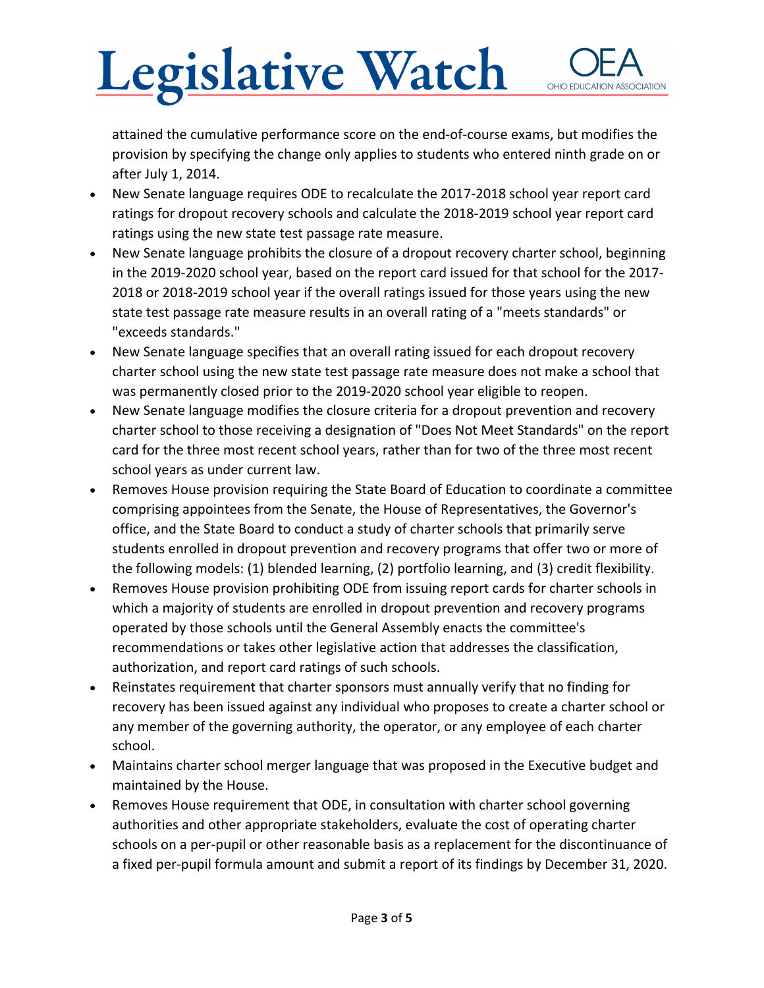# **Legislative Watch** OHIO EDUCATIO

attained the cumulative performance score on the end‐of‐course exams, but modifies the provision by specifying the change only applies to students who entered ninth grade on or after July 1, 2014.

- New Senate language requires ODE to recalculate the 2017‐2018 school year report card ratings for dropout recovery schools and calculate the 2018‐2019 school year report card ratings using the new state test passage rate measure.
- New Senate language prohibits the closure of a dropout recovery charter school, beginning in the 2019‐2020 school year, based on the report card issued for that school for the 2017‐ 2018 or 2018‐2019 school year if the overall ratings issued for those years using the new state test passage rate measure results in an overall rating of a "meets standards" or "exceeds standards."
- New Senate language specifies that an overall rating issued for each dropout recovery charter school using the new state test passage rate measure does not make a school that was permanently closed prior to the 2019‐2020 school year eligible to reopen.
- New Senate language modifies the closure criteria for a dropout prevention and recovery charter school to those receiving a designation of "Does Not Meet Standards" on the report card for the three most recent school years, rather than for two of the three most recent school years as under current law.
- Removes House provision requiring the State Board of Education to coordinate a committee comprising appointees from the Senate, the House of Representatives, the Governor's office, and the State Board to conduct a study of charter schools that primarily serve students enrolled in dropout prevention and recovery programs that offer two or more of the following models: (1) blended learning, (2) portfolio learning, and (3) credit flexibility.
- Removes House provision prohibiting ODE from issuing report cards for charter schools in which a majority of students are enrolled in dropout prevention and recovery programs operated by those schools until the General Assembly enacts the committee's recommendations or takes other legislative action that addresses the classification, authorization, and report card ratings of such schools.
- Reinstates requirement that charter sponsors must annually verify that no finding for recovery has been issued against any individual who proposes to create a charter school or any member of the governing authority, the operator, or any employee of each charter school.
- Maintains charter school merger language that was proposed in the Executive budget and maintained by the House.
- Removes House requirement that ODE, in consultation with charter school governing authorities and other appropriate stakeholders, evaluate the cost of operating charter schools on a per‐pupil or other reasonable basis as a replacement for the discontinuance of a fixed per‐pupil formula amount and submit a report of its findings by December 31, 2020.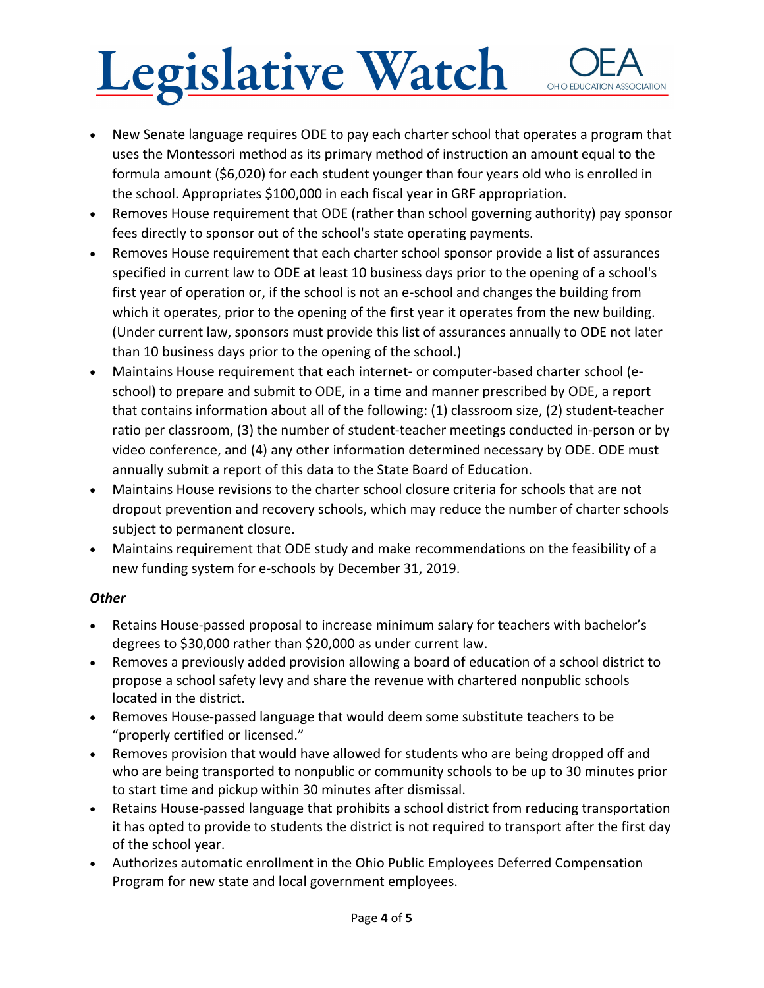# **Legislative Watch** OHIO EDUCATION ASSOCIATION

- New Senate language requires ODE to pay each charter school that operates a program that uses the Montessori method as its primary method of instruction an amount equal to the formula amount (\$6,020) for each student younger than four years old who is enrolled in the school. Appropriates \$100,000 in each fiscal year in GRF appropriation.
- Removes House requirement that ODE (rather than school governing authority) pay sponsor fees directly to sponsor out of the school's state operating payments.
- Removes House requirement that each charter school sponsor provide a list of assurances specified in current law to ODE at least 10 business days prior to the opening of a school's first year of operation or, if the school is not an e-school and changes the building from which it operates, prior to the opening of the first year it operates from the new building. (Under current law, sponsors must provide this list of assurances annually to ODE not later than 10 business days prior to the opening of the school.)
- Maintains House requirement that each internet‐ or computer‐based charter school (e‐ school) to prepare and submit to ODE, in a time and manner prescribed by ODE, a report that contains information about all of the following: (1) classroom size, (2) student‐teacher ratio per classroom, (3) the number of student-teacher meetings conducted in-person or by video conference, and (4) any other information determined necessary by ODE. ODE must annually submit a report of this data to the State Board of Education.
- Maintains House revisions to the charter school closure criteria for schools that are not dropout prevention and recovery schools, which may reduce the number of charter schools subject to permanent closure.
- Maintains requirement that ODE study and make recommendations on the feasibility of a new funding system for e‐schools by December 31, 2019.

#### *Other*

- Retains House-passed proposal to increase minimum salary for teachers with bachelor's degrees to \$30,000 rather than \$20,000 as under current law.
- Removes a previously added provision allowing a board of education of a school district to propose a school safety levy and share the revenue with chartered nonpublic schools located in the district.
- Removes House‐passed language that would deem some substitute teachers to be "properly certified or licensed."
- Removes provision that would have allowed for students who are being dropped off and who are being transported to nonpublic or community schools to be up to 30 minutes prior to start time and pickup within 30 minutes after dismissal.
- Retains House-passed language that prohibits a school district from reducing transportation it has opted to provide to students the district is not required to transport after the first day of the school year.
- Authorizes automatic enrollment in the Ohio Public Employees Deferred Compensation Program for new state and local government employees.